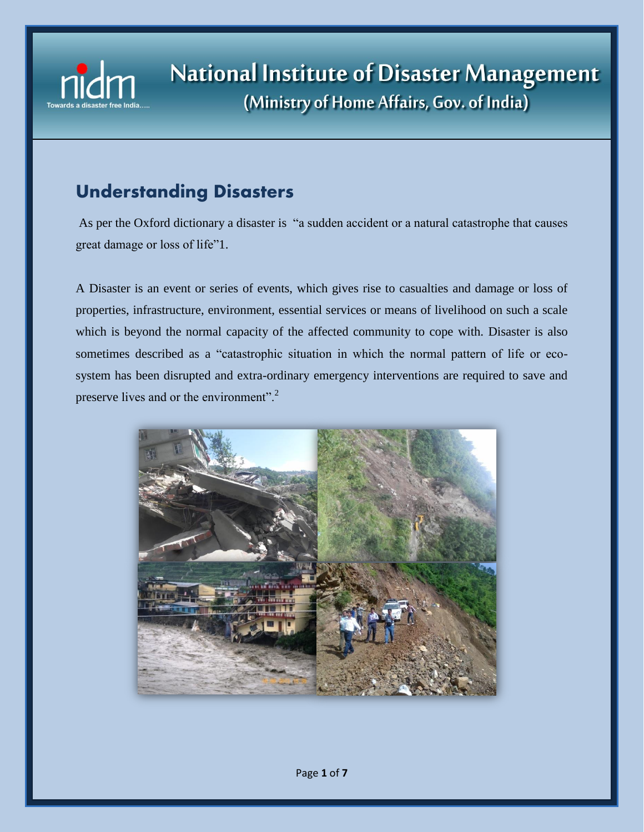

# **Understanding Disasters**

As per the Oxford dictionary a disaster is "a sudden accident or a natural catastrophe that causes great damage or loss of life"1.

A Disaster is an event or series of events, which gives rise to casualties and damage or loss of properties, infrastructure, environment, essential services or means of livelihood on such a scale which is beyond the normal capacity of the affected community to cope with. Disaster is also sometimes described as a "catastrophic situation in which the normal pattern of life or ecosystem has been disrupted and extra-ordinary emergency interventions are required to save and preserve lives and or the environment".<sup>2</sup>

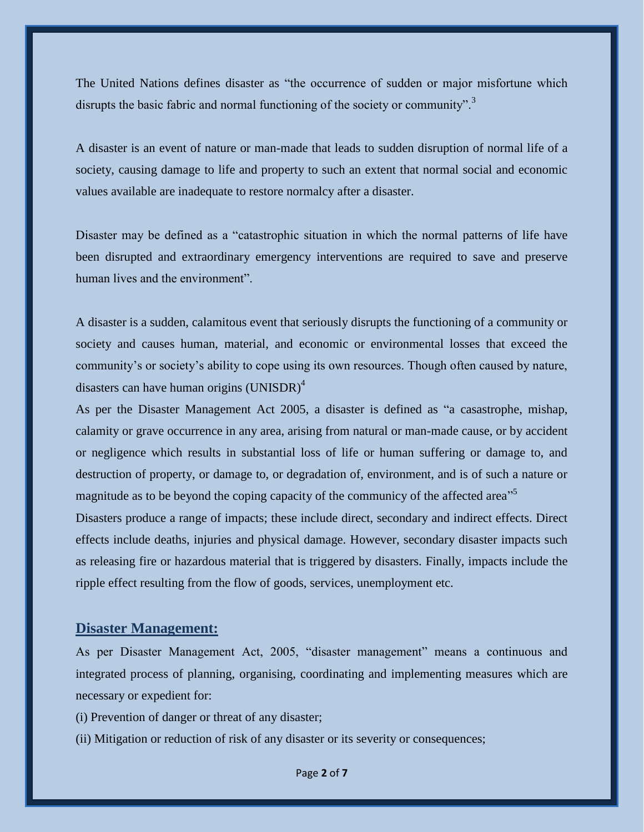The United Nations defines disaster as "the occurrence of sudden or major misfortune which disrupts the basic fabric and normal functioning of the society or community".<sup>3</sup>

A disaster is an event of nature or man-made that leads to sudden disruption of normal life of a society, causing damage to life and property to such an extent that normal social and economic values available are inadequate to restore normalcy after a disaster.

Disaster may be defined as a "catastrophic situation in which the normal patterns of life have been disrupted and extraordinary emergency interventions are required to save and preserve human lives and the environment".

A disaster is a sudden, calamitous event that seriously disrupts the functioning of a community or society and causes human, material, and economic or environmental losses that exceed the community"s or society"s ability to cope using its own resources. Though often caused by nature, disasters can have human origins  $(UNISDR)^4$ 

As per the Disaster Management Act 2005, a disaster is defined as "a casastrophe, mishap, calamity or grave occurrence in any area, arising from natural or man-made cause, or by accident or negligence which results in substantial loss of life or human suffering or damage to, and destruction of property, or damage to, or degradation of, environment, and is of such a nature or magnitude as to be beyond the coping capacity of the communicy of the affected area<sup>"5</sup>

Disasters produce a range of impacts; these include direct, secondary and indirect effects. Direct effects include deaths, injuries and physical damage. However, secondary disaster impacts such as releasing fire or hazardous material that is triggered by disasters. Finally, impacts include the ripple effect resulting from the flow of goods, services, unemployment etc.

# **Disaster Management:**

As per Disaster Management Act, 2005, "disaster management" means a continuous and integrated process of planning, organising, coordinating and implementing measures which are necessary or expedient for:

- (i) Prevention of danger or threat of any disaster;
- (ii) Mitigation or reduction of risk of any disaster or its severity or consequences;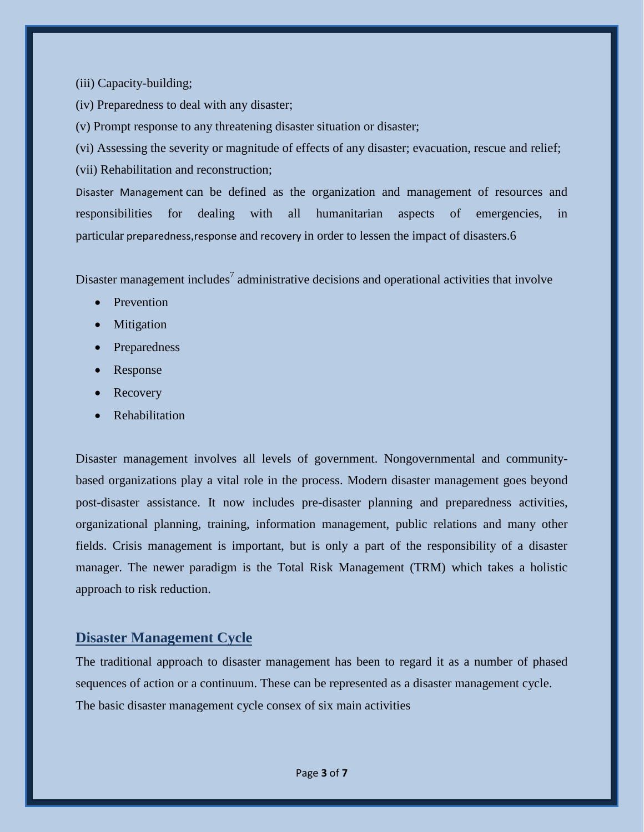(iii) Capacity-building;

(iv) Preparedness to deal with any disaster;

(v) Prompt response to any threatening disaster situation or disaster;

(vi) Assessing the severity or magnitude of effects of any disaster; evacuation, rescue and relief; (vii) Rehabilitation and reconstruction;

Disaster Management can be defined as the organization and management of resources and responsibilities for dealing with all humanitarian aspects of emergencies, in particular [preparedness](https://www.ifrc.org/en/what-we-do/disaster-management/preparing-for-disaster/),[response](https://www.ifrc.org/en/what-we-do/disaster-management/responding/) and [recovery](https://www.ifrc.org/en/what-we-do/disaster-management/from-crisis-to-recovery/) in order to lessen the impact of disasters.6

Disaster management includes<sup>7</sup> administrative decisions and operational activities that involve

- Prevention
- Mitigation
- Preparedness
- Response
- Recovery
- Rehabilitation

Disaster management involves all levels of government. Nongovernmental and communitybased organizations play a vital role in the process. Modern disaster management goes beyond post-disaster assistance. It now includes pre-disaster planning and preparedness activities, organizational planning, training, information management, public relations and many other fields. Crisis management is important, but is only a part of the responsibility of a disaster manager. The newer paradigm is the Total Risk Management (TRM) which takes a holistic approach to risk reduction.

# **Disaster Management Cycle**

The traditional approach to disaster management has been to regard it as a number of phased sequences of action or a continuum. These can be represented as a disaster management cycle. The basic disaster management cycle consex of six main activities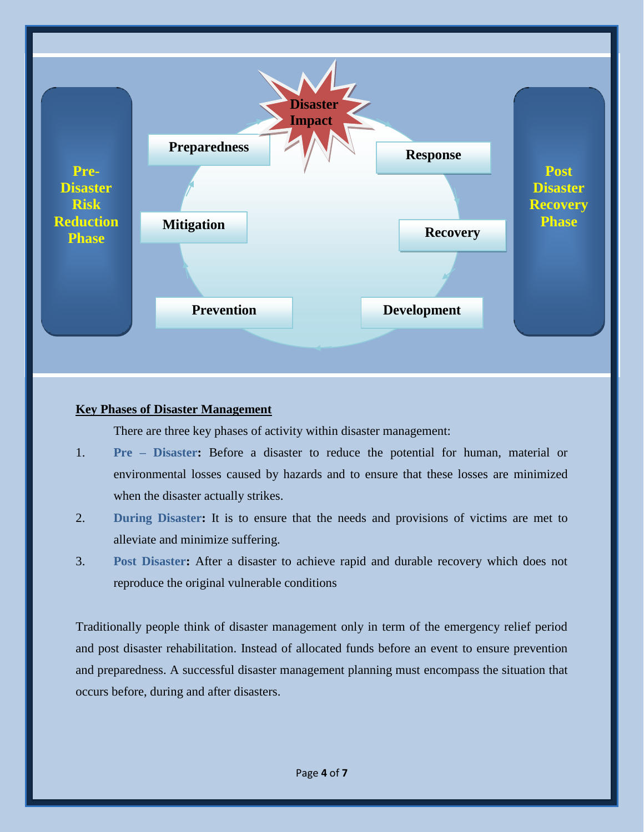

#### **Key Phases of Disaster Management**

There are three key phases of activity within disaster management:

- 1. **Pre – Disaster:** Before a disaster to reduce the potential for human, material or environmental losses caused by hazards and to ensure that these losses are minimized when the disaster actually strikes.
- 2. **During Disaster:** It is to ensure that the needs and provisions of victims are met to alleviate and minimize suffering.
- 3. **Post Disaster:** After a disaster to achieve rapid and durable recovery which does not reproduce the original vulnerable conditions

Traditionally people think of disaster management only in term of the emergency relief period and post disaster rehabilitation. Instead of allocated funds before an event to ensure prevention and preparedness. A successful disaster management planning must encompass the situation that occurs before, during and after disasters.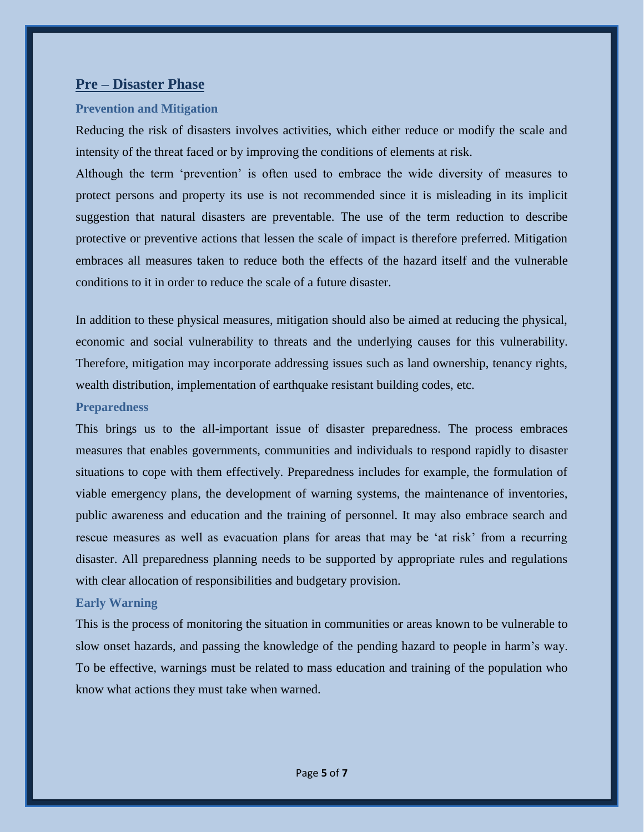# **Pre – Disaster Phase**

## **Prevention and Mitigation**

Reducing the risk of disasters involves activities, which either reduce or modify the scale and intensity of the threat faced or by improving the conditions of elements at risk.

Although the term "prevention" is often used to embrace the wide diversity of measures to protect persons and property its use is not recommended since it is misleading in its implicit suggestion that natural disasters are preventable. The use of the term reduction to describe protective or preventive actions that lessen the scale of impact is therefore preferred. Mitigation embraces all measures taken to reduce both the effects of the hazard itself and the vulnerable conditions to it in order to reduce the scale of a future disaster.

In addition to these physical measures, mitigation should also be aimed at reducing the physical, economic and social vulnerability to threats and the underlying causes for this vulnerability. Therefore, mitigation may incorporate addressing issues such as land ownership, tenancy rights, wealth distribution, implementation of earthquake resistant building codes, etc.

#### **Preparedness**

This brings us to the all-important issue of disaster preparedness. The process embraces measures that enables governments, communities and individuals to respond rapidly to disaster situations to cope with them effectively. Preparedness includes for example, the formulation of viable emergency plans, the development of warning systems, the maintenance of inventories, public awareness and education and the training of personnel. It may also embrace search and rescue measures as well as evacuation plans for areas that may be 'at risk' from a recurring disaster. All preparedness planning needs to be supported by appropriate rules and regulations with clear allocation of responsibilities and budgetary provision.

# **Early Warning**

This is the process of monitoring the situation in communities or areas known to be vulnerable to slow onset hazards, and passing the knowledge of the pending hazard to people in harm"s way. To be effective, warnings must be related to mass education and training of the population who know what actions they must take when warned.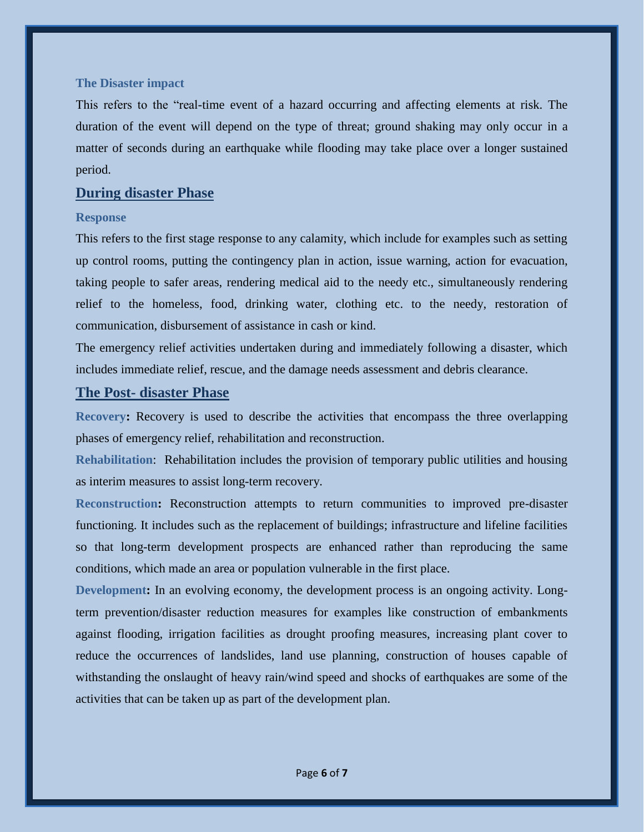#### **The Disaster impact**

This refers to the "real-time event of a hazard occurring and affecting elements at risk. The duration of the event will depend on the type of threat; ground shaking may only occur in a matter of seconds during an earthquake while flooding may take place over a longer sustained period.

#### **During disaster Phase**

#### **Response**

This refers to the first stage response to any calamity, which include for examples such as setting up control rooms, putting the contingency plan in action, issue warning, action for evacuation, taking people to safer areas, rendering medical aid to the needy etc., simultaneously rendering relief to the homeless, food, drinking water, clothing etc. to the needy, restoration of communication, disbursement of assistance in cash or kind.

The emergency relief activities undertaken during and immediately following a disaster, which includes immediate relief, rescue, and the damage needs assessment and debris clearance.

# **The Post- disaster Phase**

**Recovery:** Recovery is used to describe the activities that encompass the three overlapping phases of emergency relief, rehabilitation and reconstruction.

**Rehabilitation**: Rehabilitation includes the provision of temporary public utilities and housing as interim measures to assist long-term recovery.

**Reconstruction:** Reconstruction attempts to return communities to improved pre-disaster functioning. It includes such as the replacement of buildings; infrastructure and lifeline facilities so that long-term development prospects are enhanced rather than reproducing the same conditions, which made an area or population vulnerable in the first place.

**Development:** In an evolving economy, the development process is an ongoing activity. Longterm prevention/disaster reduction measures for examples like construction of embankments against flooding, irrigation facilities as drought proofing measures, increasing plant cover to reduce the occurrences of landslides, land use planning, construction of houses capable of withstanding the onslaught of heavy rain/wind speed and shocks of earthquakes are some of the activities that can be taken up as part of the development plan.